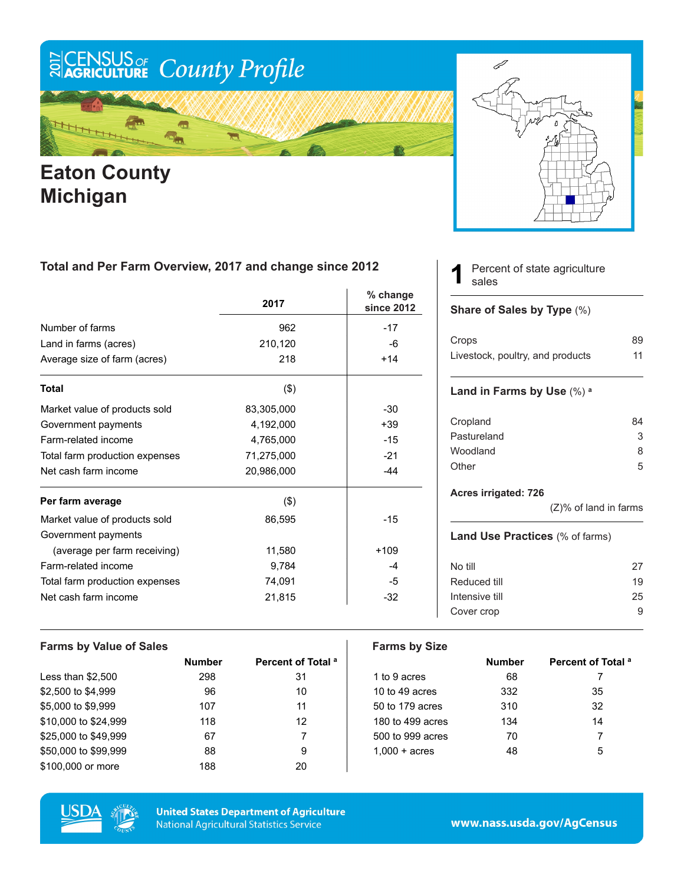# ECENSUS OF County Profile

Æ ₩

### **Eaton County Michigan**



#### **Total and Per Farm Overview, 2017 and change since 2012**

|                                | 2017       | % change<br>since 2012 |
|--------------------------------|------------|------------------------|
| Number of farms                | 962        | $-17$                  |
| Land in farms (acres)          | 210,120    | -6                     |
| Average size of farm (acres)   | 218        | $+14$                  |
| <b>Total</b>                   | $($ \$)    |                        |
| Market value of products sold  | 83,305,000 | $-30$                  |
| Government payments            | 4,192,000  | $+39$                  |
| Farm-related income            | 4,765,000  | $-15$                  |
| Total farm production expenses | 71,275,000 | $-21$                  |
| Net cash farm income           | 20,986,000 | $-44$                  |
| Per farm average               | $($ \$)    |                        |
| Market value of products sold  | 86,595     | $-15$                  |
| Government payments            |            |                        |
| (average per farm receiving)   | 11,580     | $+109$                 |
| Farm-related income            | 9,784      | -4                     |
| Total farm production expenses | 74,091     | -5                     |
| Net cash farm income           | 21,815     | $-32$                  |

#### Percent of state agriculture sales **1**

#### **Share of Sales by Type** (%)

| Crops                            | 89 |
|----------------------------------|----|
| Livestock, poultry, and products | 11 |

#### **Land in Farms by Use** (%) **<sup>a</sup>**

| Cropland    | 84 |
|-------------|----|
| Pastureland | 3  |
| Woodland    | 8  |
| Other       | 5. |

#### **Acres irrigated: 726**

(Z)% of land in farms

#### **Land Use Practices** (% of farms)

| No till        | 27 |
|----------------|----|
| Reduced till   | 19 |
| Intensive till | 25 |
| Cover crop     |    |
|                |    |

#### **Farms by Value of Sales Farms by Size Number Percent of Total <sup>a</sup> Number Percent of Total <sup>a</sup>** Less than \$2,500 298 31 1 to 9 acres 68 7 \$2,500 to \$4,999 96 96 10 10 to 49 acres 332 35 \$5,000 to \$9,999 107 11 50 to 179 acres 310 32 \$10,000 to \$24,999 118 12 12 180 to 499 acres 134 14 \$25,000 to \$49,999 67 67 7 7 500 to 999 acres 70 7 7 \$50,000 to \$99,999 88 8 9 1,000 + acres 48 5 \$100,000 or more 188 20



**United States Department of Agriculture National Agricultural Statistics Service** 

www.nass.usda.gov/AgCensus